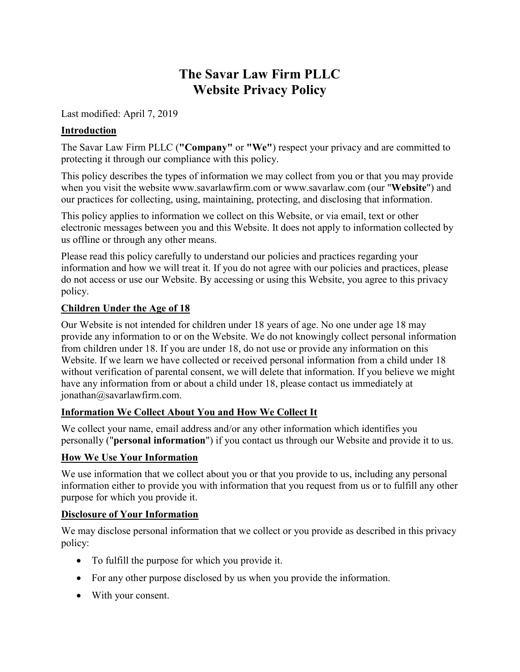# **The Savar Law Firm PLLC Website Privacy Policy**

Last modified: April 7, 2019

#### **Introduction**

The Savar Law Firm PLLC (**"Company"** or **"We"**) respect your privacy and are committed to protecting it through our compliance with this policy.

This policy describes the types of information we may collect from you or that you may provide when you visit the website [www.savarlawfirm.com](http://www.savarlawfirm.com/) or [www.savarlaw.com](http://www.savarlaw.com/) (our "**Website**") and our practices for collecting, using, maintaining, protecting, and disclosing that information.

This policy applies to information we collect on this Website, or via email, text or other electronic messages between you and this Website. It does not apply to information collected by us offline or through any other means.

Please read this policy carefully to understand our policies and practices regarding your information and how we will treat it. If you do not agree with our policies and practices, please do not access or use our Website. By accessing or using this Website, you agree to this privacy policy.

#### **Children Under the Age of 18**

Our Website is not intended for children under 18 years of age. No one under age 18 may provide any information to or on the Website. We do not knowingly collect personal information from children under 18. If you are under 18, do not use or provide any information on this Website. If we learn we have collected or received personal information from a child under 18 without verification of parental consent, we will delete that information. If you believe we might have any information from or about a child under 18, please contact us immediately at jonathan@savarlawfirm.com.

#### **Information We Collect About You and How We Collect It**

We collect your name, email address and/or any other information which identifies you personally ("**personal information**") if you contact us through our Website and provide it to us.

#### **How We Use Your Information**

We use information that we collect about you or that you provide to us, including any personal information either to provide you with information that you request from us or to fulfill any other purpose for which you provide it.

#### **Disclosure of Your Information**

We may disclose personal information that we collect or you provide as described in this privacy policy:

- To fulfill the purpose for which you provide it.
- For any other purpose disclosed by us when you provide the information.
- With your consent.